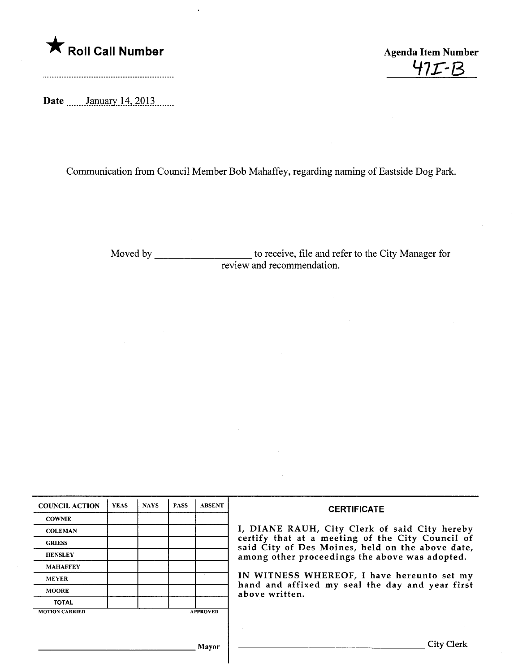

47r-B

Date \_\_\_\_\_\_ January 14, 2013

Communication from Council Member Bob Mahaffey, regarding naming of Eastside Dog Park.

Moved by \_\_\_\_\_\_\_\_\_\_\_\_\_\_\_\_\_\_\_\_\_\_\_ to receive, file and refer to the City Manager for review and recommendation.

| <b>COUNCIL ACTION</b>                    | <b>YEAS</b> | <b>NAYS</b> | <b>PASS</b> | <b>ABSENT</b> | <b>CERTIFICATE</b><br>I, DIANE RAUH, City Clerk of said City hereby<br>certify that at a meeting of the City Council of<br>said City of Des Moines, held on the above date,<br>among other proceedings the above was adopted.<br>IN WITNESS WHEREOF, I have hereunto set my<br>hand and affixed my seal the day and year first<br>above written. |
|------------------------------------------|-------------|-------------|-------------|---------------|--------------------------------------------------------------------------------------------------------------------------------------------------------------------------------------------------------------------------------------------------------------------------------------------------------------------------------------------------|
| <b>COWNIE</b>                            |             |             |             |               |                                                                                                                                                                                                                                                                                                                                                  |
| <b>COLEMAN</b>                           |             |             |             |               |                                                                                                                                                                                                                                                                                                                                                  |
| <b>GRIESS</b>                            |             |             |             |               |                                                                                                                                                                                                                                                                                                                                                  |
| <b>HENSLEY</b>                           |             |             |             |               |                                                                                                                                                                                                                                                                                                                                                  |
| <b>MAHAFFEY</b>                          |             |             |             |               |                                                                                                                                                                                                                                                                                                                                                  |
| <b>MEYER</b>                             |             |             |             |               |                                                                                                                                                                                                                                                                                                                                                  |
| <b>MOORE</b>                             |             |             |             |               |                                                                                                                                                                                                                                                                                                                                                  |
| <b>TOTAL</b>                             |             |             |             |               |                                                                                                                                                                                                                                                                                                                                                  |
| <b>MOTION CARRIED</b><br><b>APPROVED</b> |             |             |             |               |                                                                                                                                                                                                                                                                                                                                                  |
|                                          |             |             |             |               |                                                                                                                                                                                                                                                                                                                                                  |
|                                          |             |             |             |               |                                                                                                                                                                                                                                                                                                                                                  |
| Mayor                                    |             |             |             |               | City Clerk                                                                                                                                                                                                                                                                                                                                       |